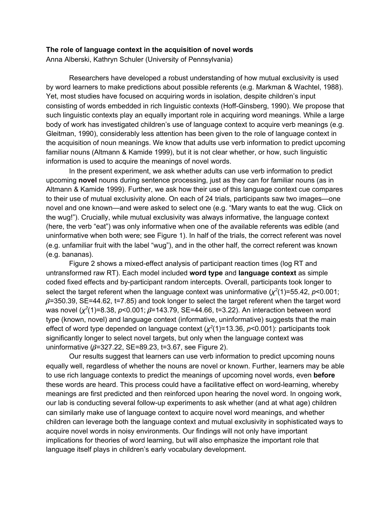## **The role of language context in the acquisition of novel words**

Anna Alberski, Kathryn Schuler (University of Pennsylvania)

Researchers have developed a robust understanding of how mutual exclusivity is used by word learners to make predictions about possible referents (e.g. Markman & Wachtel, 1988). Yet, most studies have focused on acquiring words in isolation, despite children's input consisting of words embedded in rich linguistic contexts (Hoff-Ginsberg, 1990). We propose that such linguistic contexts play an equally important role in acquiring word meanings. While a large body of work has investigated children's use of language context to acquire verb meanings (e.g. Gleitman, 1990), considerably less attention has been given to the role of language context in the acquisition of noun meanings. We know that adults use verb information to predict upcoming familiar nouns (Altmann & Kamide 1999), but it is not clear whether, or how, such linguistic information is used to acquire the meanings of novel words.

In the present experiment, we ask whether adults can use verb information to predict upcoming **novel** nouns during sentence processing, just as they can for familiar nouns (as in Altmann & Kamide 1999). Further, we ask how their use of this language context cue compares to their use of mutual exclusivity alone. On each of 24 trials, participants saw two images—one novel and one known—and were asked to select one (e.g. "Mary wants to eat the wug. Click on the wug!"). Crucially, while mutual exclusivity was always informative, the language context (here, the verb "eat") was only informative when one of the available referents was edible (and uninformative when both were; see Figure 1). In half of the trials, the correct referent was novel (e.g. unfamiliar fruit with the label "wug"), and in the other half, the correct referent was known (e.g. bananas).

Figure 2 shows a mixed-effect analysis of participant reaction times (log RT and untransformed raw RT). Each model included **word type** and **language context** as simple coded fixed effects and by-participant random intercepts. Overall, participants took longer to select the target referent when the language context was uninformative ( $\chi^2(1)$ =55.42, *p*<0.001;  $\beta$ =350.39, SE=44.62, t=7.85) and took longer to select the target referent when the target word was novel  $(x^2(1)=8.38, p<0.001; β=143.79, SE=44.66, t=3.22)$ . An interaction between word type (known, novel) and language context (informative, uninformative) suggests that the main effect of word type depended on language context ( $\chi^2(1)$ =13.36, *p*<0.001): participants took significantly longer to select novel targets, but only when the language context was uninformative  $(\beta=327.22, SE=89.23, t=3.67, see Figure 2).$ 

Our results suggest that learners can use verb information to predict upcoming nouns equally well, regardless of whether the nouns are novel or known. Further, learners may be able to use rich language contexts to predict the meanings of upcoming novel words, even **before** these words are heard. This process could have a facilitative effect on word-learning, whereby meanings are first predicted and then reinforced upon hearing the novel word. In ongoing work, our lab is conducting several follow-up experiments to ask whether (and at what age) children can similarly make use of language context to acquire novel word meanings, and whether children can leverage both the language context and mutual exclusivity in sophisticated ways to acquire novel words in noisy environments. Our findings will not only have important implications for theories of word learning, but will also emphasize the important role that language itself plays in children's early vocabulary development.